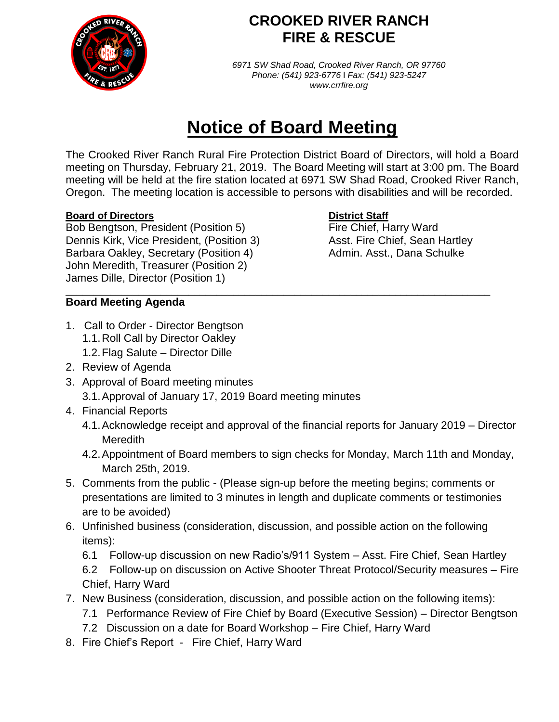

## **CROOKED RIVER RANCH FIRE & RESCUE**

*6971 SW Shad Road, Crooked River Ranch, OR 97760 Phone: (541) 923-6776* l *Fax: (541) 923-5247 www.crrfire.org*

# **Notice of Board Meeting**

The Crooked River Ranch Rural Fire Protection District Board of Directors, will hold a Board meeting on Thursday, February 21, 2019. The Board Meeting will start at 3:00 pm. The Board meeting will be held at the fire station located at 6971 SW Shad Road, Crooked River Ranch, Oregon. The meeting location is accessible to persons with disabilities and will be recorded.

\_\_\_\_\_\_\_\_\_\_\_\_\_\_\_\_\_\_\_\_\_\_\_\_\_\_\_\_\_\_\_\_\_\_\_\_\_\_\_\_\_\_\_\_\_\_\_\_\_\_\_\_\_\_\_\_\_\_\_\_\_\_\_\_\_\_\_\_\_\_\_\_\_\_\_\_

### **Board of Directors District Staff**

Bob Bengtson, President (Position 5) Fire Chief, Harry Ward Dennis Kirk, Vice President, (Position 3) Asst. Fire Chief, Sean Hartley Barbara Oakley, Secretary (Position 4) Admin. Asst., Dana Schulke John Meredith, Treasurer (Position 2) James Dille, Director (Position 1)

### **Board Meeting Agenda**

- 1.Call to Order Director Bengtson 1.1.Roll Call by Director Oakley
	- 1.2.Flag Salute Director Dille
- 2. Review of Agenda
- 3. Approval of Board meeting minutes 3.1.Approval of January 17, 2019 Board meeting minutes
- 4. Financial Reports
	- 4.1.Acknowledge receipt and approval of the financial reports for January 2019 Director Meredith
	- 4.2.Appointment of Board members to sign checks for Monday, March 11th and Monday, March 25th, 2019.
- 5. Comments from the public (Please sign-up before the meeting begins; comments or presentations are limited to 3 minutes in length and duplicate comments or testimonies are to be avoided)
- 6. Unfinished business (consideration, discussion, and possible action on the following items):
	- 6.1 Follow-up discussion on new Radio's/911 System Asst. Fire Chief, Sean Hartley 6.2 Follow-up on discussion on Active Shooter Threat Protocol/Security measures – Fire Chief, Harry Ward
- 7. New Business (consideration, discussion, and possible action on the following items):
	- 7.1 Performance Review of Fire Chief by Board (Executive Session) Director Bengtson
	- 7.2 Discussion on a date for Board Workshop Fire Chief, Harry Ward
- 8. Fire Chief's Report Fire Chief, Harry Ward